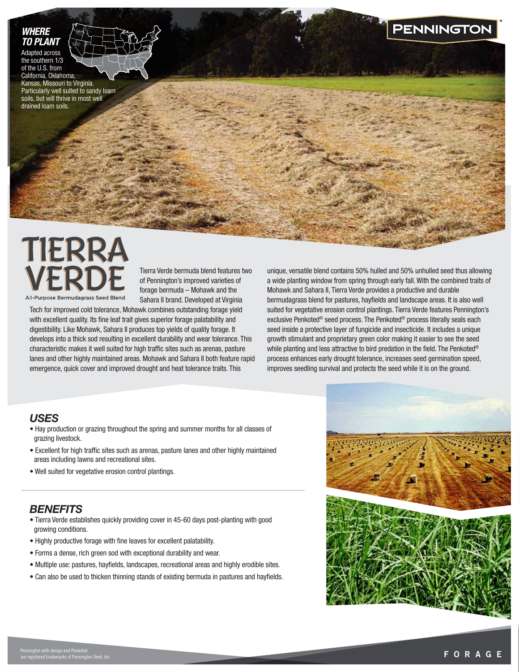### *WHERE TO PLANT*

Adapted across the southern 1/3 of the U.S. from California, Oklahoma, Kansas, Missouri to Virginia. Particularly well suited to sandy loam

drained loam soils.

soils, but will thrive in most well

# **PENNINGTON**

# TIERRA All-Purpose Bermudagrass Seed Blend

Tierra Verde bermuda blend features two of Pennington's improved varieties of forage bermuda – Mohawk and the Sahara II brand. Developed at Virginia

Tech for improved cold tolerance, Mohawk combines outstanding forage yield with excellent quality. Its fine leaf trait gives superior forage palatability and digestibility. Like Mohawk, Sahara II produces top yields of quality forage. It develops into a thick sod resulting in excellent durability and wear tolerance. This characteristic makes it well suited for high traffic sites such as arenas, pasture lanes and other highly maintained areas. Mohawk and Sahara II both feature rapid emergence, quick cover and improved drought and heat tolerance traits. This

unique, versatile blend contains 50% hulled and 50% unhulled seed thus allowing a wide planting window from spring through early fall. With the combined traits of Mohawk and Sahara II, Tierra Verde provides a productive and durable bermudagrass blend for pastures, hayfields and landscape areas. It is also well suited for vegetative erosion control plantings. Tierra Verde features Pennington's exclusive Penkoted® seed process. The Penkoted® process literally seals each seed inside a protective layer of fungicide and insecticide. It includes a unique growth stimulant and proprietary green color making it easier to see the seed while planting and less attractive to bird predation in the field. The Penkoted<sup>®</sup> process enhances early drought tolerance, increases seed germination speed, improves seedling survival and protects the seed while it is on the ground.

## *USES*

- Hay production or grazing throughout the spring and summer months for all classes of grazing livestock.
- Excellent for high traffic sites such as arenas, pasture lanes and other highly maintained areas including lawns and recreational sites.
- Well suited for vegetative erosion control plantings.

# *BENEFITS*

- Tierra Verde establishes quickly providing cover in 45-60 days post-planting with good growing conditions.
- Highly productive forage with fine leaves for excellent palatability.
- Forms a dense, rich green sod with exceptional durability and wear.
- Multiple use: pastures, hayfields, landscapes, recreational areas and highly erodible sites.
- Can also be used to thicken thinning stands of existing bermuda in pastures and hayfields.